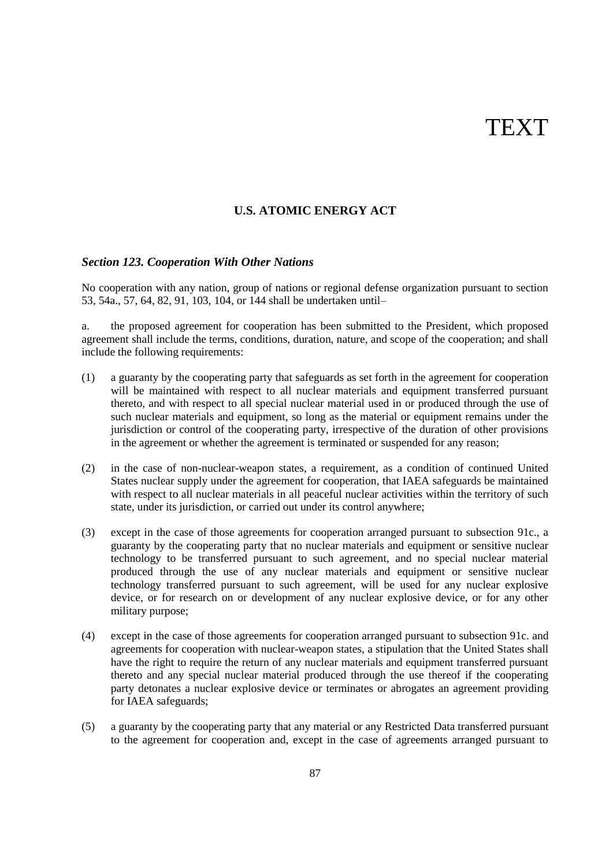## TEXT

## **U.S. ATOMIC ENERGY ACT**

## *Section 123. Cooperation With Other Nations*

No cooperation with any nation, group of nations or regional defense organization pursuant to section 53, 54a., 57, 64, 82, 91, 103, 104, or 144 shall be undertaken until–

a. the proposed agreement for cooperation has been submitted to the President, which proposed agreement shall include the terms, conditions, duration, nature, and scope of the cooperation; and shall include the following requirements:

- (1) a guaranty by the cooperating party that safeguards as set forth in the agreement for cooperation will be maintained with respect to all nuclear materials and equipment transferred pursuant thereto, and with respect to all special nuclear material used in or produced through the use of such nuclear materials and equipment, so long as the material or equipment remains under the jurisdiction or control of the cooperating party, irrespective of the duration of other provisions in the agreement or whether the agreement is terminated or suspended for any reason;
- (2) in the case of non-nuclear-weapon states, a requirement, as a condition of continued United States nuclear supply under the agreement for cooperation, that IAEA safeguards be maintained with respect to all nuclear materials in all peaceful nuclear activities within the territory of such state, under its jurisdiction, or carried out under its control anywhere;
- (3) except in the case of those agreements for cooperation arranged pursuant to subsection 91c., a guaranty by the cooperating party that no nuclear materials and equipment or sensitive nuclear technology to be transferred pursuant to such agreement, and no special nuclear material produced through the use of any nuclear materials and equipment or sensitive nuclear technology transferred pursuant to such agreement, will be used for any nuclear explosive device, or for research on or development of any nuclear explosive device, or for any other military purpose;
- (4) except in the case of those agreements for cooperation arranged pursuant to subsection 91c. and agreements for cooperation with nuclear-weapon states, a stipulation that the United States shall have the right to require the return of any nuclear materials and equipment transferred pursuant thereto and any special nuclear material produced through the use thereof if the cooperating party detonates a nuclear explosive device or terminates or abrogates an agreement providing for IAEA safeguards;
- (5) a guaranty by the cooperating party that any material or any Restricted Data transferred pursuant to the agreement for cooperation and, except in the case of agreements arranged pursuant to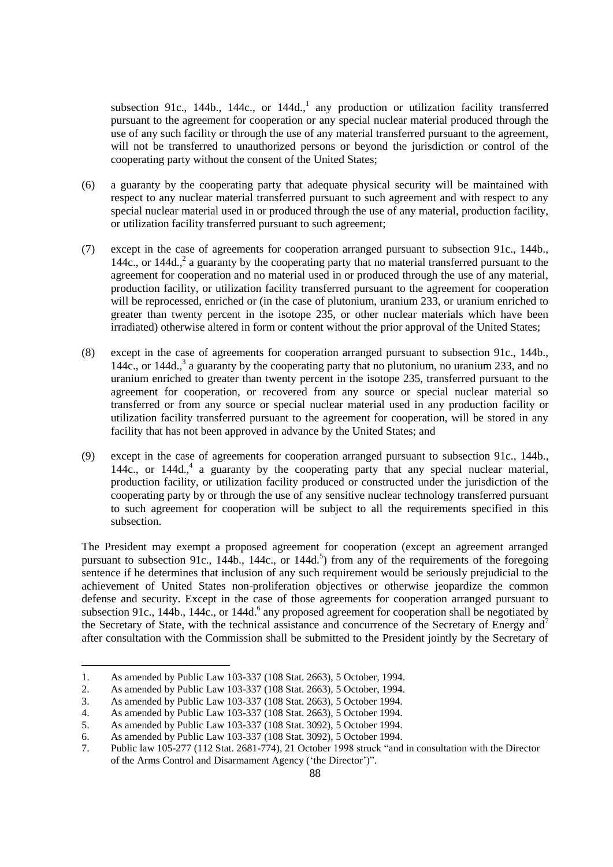subsection 91c., 144b., 144c., or 144d.,<sup>1</sup> any production or utilization facility transferred pursuant to the agreement for cooperation or any special nuclear material produced through the use of any such facility or through the use of any material transferred pursuant to the agreement, will not be transferred to unauthorized persons or beyond the jurisdiction or control of the cooperating party without the consent of the United States;

- (6) a guaranty by the cooperating party that adequate physical security will be maintained with respect to any nuclear material transferred pursuant to such agreement and with respect to any special nuclear material used in or produced through the use of any material, production facility, or utilization facility transferred pursuant to such agreement;
- (7) except in the case of agreements for cooperation arranged pursuant to subsection 91c., 144b., 144c., or 144d.,<sup>2</sup> a guaranty by the cooperating party that no material transferred pursuant to the agreement for cooperation and no material used in or produced through the use of any material, production facility, or utilization facility transferred pursuant to the agreement for cooperation will be reprocessed, enriched or (in the case of plutonium, uranium 233, or uranium enriched to greater than twenty percent in the isotope 235, or other nuclear materials which have been irradiated) otherwise altered in form or content without the prior approval of the United States;
- (8) except in the case of agreements for cooperation arranged pursuant to subsection 91c., 144b., 144c., or 144d.,<sup>3</sup> a guaranty by the cooperating party that no plutonium, no uranium 233, and no uranium enriched to greater than twenty percent in the isotope 235, transferred pursuant to the agreement for cooperation, or recovered from any source or special nuclear material so transferred or from any source or special nuclear material used in any production facility or utilization facility transferred pursuant to the agreement for cooperation, will be stored in any facility that has not been approved in advance by the United States; and
- (9) except in the case of agreements for cooperation arranged pursuant to subsection 91c., 144b., 144c., or 144d.,<sup>4</sup> a guaranty by the cooperating party that any special nuclear material, production facility, or utilization facility produced or constructed under the jurisdiction of the cooperating party by or through the use of any sensitive nuclear technology transferred pursuant to such agreement for cooperation will be subject to all the requirements specified in this subsection.

The President may exempt a proposed agreement for cooperation (except an agreement arranged pursuant to subsection 91c.,  $144b$ .,  $144c$ ., or  $144d$ .<sup>5</sup>) from any of the requirements of the foregoing sentence if he determines that inclusion of any such requirement would be seriously prejudicial to the achievement of United States non-proliferation objectives or otherwise jeopardize the common defense and security. Except in the case of those agreements for cooperation arranged pursuant to subsection 91c., 144b., 144c., or 144d.<sup>6</sup> any proposed agreement for cooperation shall be negotiated by the Secretary of State, with the technical assistance and concurrence of the Secretary of Energy and<sup>7</sup> after consultation with the Commission shall be submitted to the President jointly by the Secretary of

 $\overline{a}$ 

<sup>1.</sup> As amended by Public Law 103-337 (108 Stat. 2663), 5 October, 1994.

<sup>2.</sup> As amended by Public Law 103-337 (108 Stat. 2663), 5 October, 1994.

<sup>3.</sup> As amended by Public Law 103-337 (108 Stat. 2663), 5 October 1994.

<sup>4.</sup> As amended by Public Law 103-337 (108 Stat. 2663), 5 October 1994.

<sup>5.</sup> As amended by Public Law 103-337 (108 Stat. 3092), 5 October 1994.

<sup>6.</sup> As amended by Public Law 103-337 (108 Stat. 3092), 5 October 1994.

<sup>7.</sup> Public law 105-277 (112 Stat. 2681-774), 21 October 1998 struck "and in consultation with the Director of the Arms Control and Disarmament Agency ('the Director')".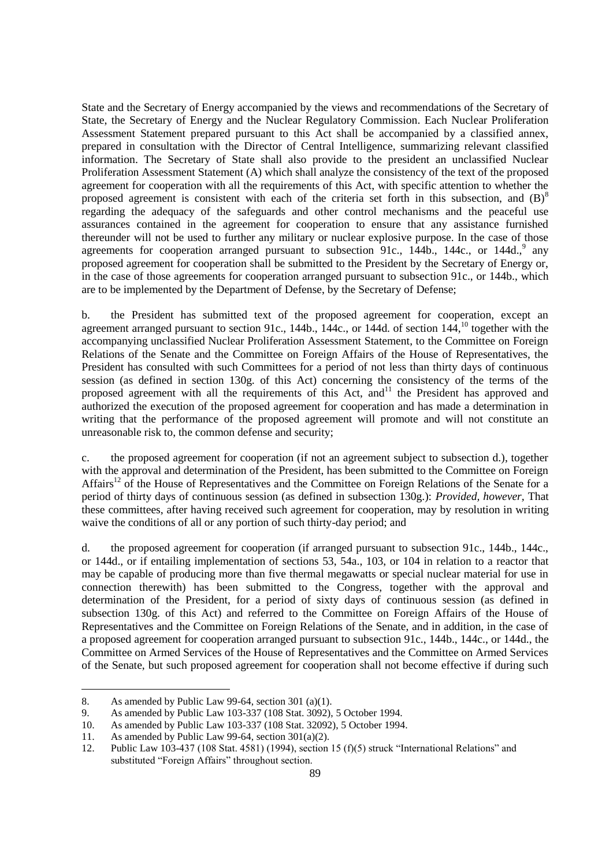State and the Secretary of Energy accompanied by the views and recommendations of the Secretary of State, the Secretary of Energy and the Nuclear Regulatory Commission. Each Nuclear Proliferation Assessment Statement prepared pursuant to this Act shall be accompanied by a classified annex, prepared in consultation with the Director of Central Intelligence, summarizing relevant classified information. The Secretary of State shall also provide to the president an unclassified Nuclear Proliferation Assessment Statement (A) which shall analyze the consistency of the text of the proposed agreement for cooperation with all the requirements of this Act, with specific attention to whether the proposed agreement is consistent with each of the criteria set forth in this subsection, and  $(B)^8$ regarding the adequacy of the safeguards and other control mechanisms and the peaceful use assurances contained in the agreement for cooperation to ensure that any assistance furnished thereunder will not be used to further any military or nuclear explosive purpose. In the case of those agreements for cooperation arranged pursuant to subsection  $91c$ ,  $144b$ ,  $144c$ , or  $144d$ ,  $9$  any proposed agreement for cooperation shall be submitted to the President by the Secretary of Energy or, in the case of those agreements for cooperation arranged pursuant to subsection 91c., or 144b., which are to be implemented by the Department of Defense, by the Secretary of Defense;

b. the President has submitted text of the proposed agreement for cooperation, except an agreement arranged pursuant to section 91c., 144b.,  $144c$ ., or 144d. of section  $144<sup>10</sup>$  together with the accompanying unclassified Nuclear Proliferation Assessment Statement, to the Committee on Foreign Relations of the Senate and the Committee on Foreign Affairs of the House of Representatives, the President has consulted with such Committees for a period of not less than thirty days of continuous session (as defined in section 130g. of this Act) concerning the consistency of the terms of the proposed agreement with all the requirements of this Act, and<sup>11</sup> the President has approved and authorized the execution of the proposed agreement for cooperation and has made a determination in writing that the performance of the proposed agreement will promote and will not constitute an unreasonable risk to, the common defense and security;

c. the proposed agreement for cooperation (if not an agreement subject to subsection d.), together with the approval and determination of the President, has been submitted to the Committee on Foreign Affairs<sup>12</sup> of the House of Representatives and the Committee on Foreign Relations of the Senate for a period of thirty days of continuous session (as defined in subsection 130g.): *Provided, however,* That these committees, after having received such agreement for cooperation, may by resolution in writing waive the conditions of all or any portion of such thirty-day period; and

d. the proposed agreement for cooperation (if arranged pursuant to subsection 91c., 144b., 144c., or 144d., or if entailing implementation of sections 53, 54a., 103, or 104 in relation to a reactor that may be capable of producing more than five thermal megawatts or special nuclear material for use in connection therewith) has been submitted to the Congress, together with the approval and determination of the President, for a period of sixty days of continuous session (as defined in subsection 130g. of this Act) and referred to the Committee on Foreign Affairs of the House of Representatives and the Committee on Foreign Relations of the Senate, and in addition, in the case of a proposed agreement for cooperation arranged pursuant to subsection 91c., 144b., 144c., or 144d., the Committee on Armed Services of the House of Representatives and the Committee on Armed Services of the Senate, but such proposed agreement for cooperation shall not become effective if during such

 $\overline{a}$ 

<sup>8.</sup> As amended by Public Law 99-64, section 301 (a)(1).

<sup>9.</sup> As amended by Public Law 103-337 (108 Stat. 3092), 5 October 1994.

<sup>10.</sup> As amended by Public Law 103-337 (108 Stat. 32092), 5 October 1994.

<sup>11.</sup> As amended by Public Law 99-64, section  $301(a)(2)$ .

<sup>12.</sup> Public Law 103-437 (108 Stat. 4581) (1994), section 15 (f)(5) struck "International Relations" and substituted "Foreign Affairs" throughout section.